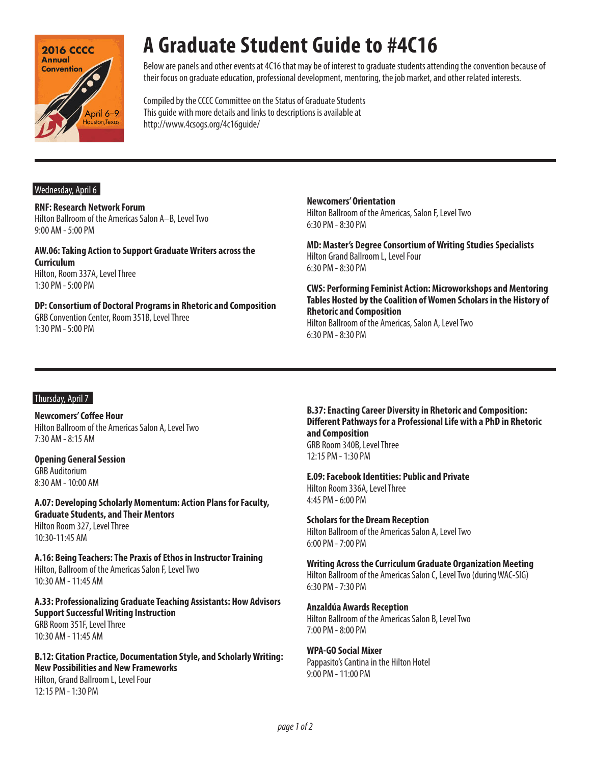

## **A Graduate Student Guide to #4C16**

Below are panels and other events at 4C16 that may be of interest to graduate students attending the convention because of their focus on graduate education, professional development, mentoring, the job market, and other related interests.

Compiled by the CCCC Committee on the Status of Graduate Students This guide with more details and links to descriptions is available at http://www.4csogs.org/4c16guide/

#### Wednesday, April 6

**RNF: Research Network Forum** Hilton Ballroom of the Americas Salon A–B, Level Two 9:00 AM - 5:00 PM

**AW.06: Taking Action to Support Graduate Writers across the Curriculum** Hilton, Room 337A, Level Three 1:30 PM - 5:00 PM

**DP: Consortium of Doctoral Programs in Rhetoric and Composition** GRB Convention Center, Room 351B, Level Three 1:30 PM - 5:00 PM

**Newcomers' Orientation** Hilton Ballroom of the Americas, Salon F, Level Two 6:30 PM - 8:30 PM

**MD: Master's Degree Consortium of Writing Studies Specialists**  Hilton Grand Ballroom L, Level Four 6:30 PM - 8:30 PM

**CWS: Performing Feminist Action: Microworkshops and Mentoring Tables Hosted by the Coalition of Women Scholars in the History of Rhetoric and Composition**

Hilton Ballroom of the Americas, Salon A, Level Two 6:30 PM - 8:30 PM

## Thursday, April 7

**Newcomers' Coffee Hour** Hilton Ballroom of the Americas Salon A, Level Two 7:30 AM - 8:15 AM

**Opening General Session** GRB Auditorium 8:30 AM - 10:00 AM

**A.07: Developing Scholarly Momentum: Action Plans for Faculty, Graduate Students, and Their Mentors** Hilton Room 327, Level Three 10:30-11:45 AM

**A.16: Being Teachers: The Praxis of Ethos in Instructor Training** Hilton, Ballroom of the Americas Salon F, Level Two 10:30 AM - 11:45 AM

**A.33: Professionalizing Graduate Teaching Assistants: How Advisors Support Successful Writing Instruction** GRB Room 351F, Level Three 10:30 AM - 11:45 AM

**B.12: Citation Practice, Documentation Style, and Scholarly Writing: New Possibilities and New Frameworks** Hilton, Grand Ballroom L, Level Four 12:15 PM - 1:30 PM

**B.37: Enacting Career Diversity in Rhetoric and Composition: Different Pathways for a Professional Life with a PhD in Rhetoric and Composition** GRB Room 340B, Level Three

12:15 PM - 1:30 PM

**E.09: Facebook Identities: Public and Private** Hilton Room 336A, Level Three 4:45 PM - 6:00 PM

**Scholars for the Dream Reception** Hilton Ballroom of the Americas Salon A, Level Two 6:00 PM - 7:00 PM

**Writing Across the Curriculum Graduate Organization Meeting** Hilton Ballroom of the Americas Salon C, Level Two (during WAC-SIG) 6:30 PM - 7:30 PM

**Anzaldúa Awards Reception** Hilton Ballroom of the Americas Salon B, Level Two 7:00 PM - 8:00 PM

**WPA-GO Social Mixer** Pappasito's Cantina in the Hilton Hotel 9:00 PM - 11:00 PM